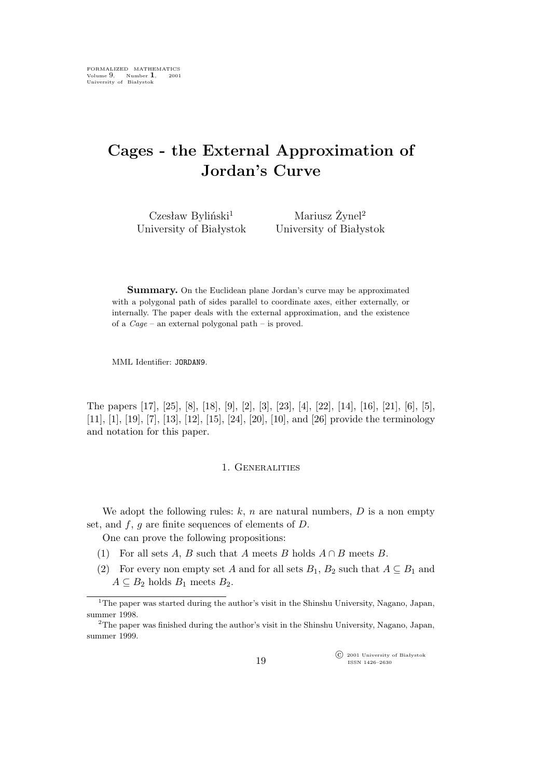# **Cages - the External Approximation of Jordan's Curve**

 $Cz$ esław Byliński<sup>1</sup> University of Białystok

Mariusz Żynel<sup>2</sup> University of Białystok

**Summary.** On the Euclidean plane Jordan's curve may be approximated with a polygonal path of sides parallel to coordinate axes, either externally, or internally. The paper deals with the external approximation, and the existence of a *Cage* – an external polygonal path – is proved.

MML Identifier: JORDAN9.

The papers [17], [25], [8], [18], [9], [2], [3], [23], [4], [22], [14], [16], [21], [6], [5], [11], [1], [19], [7], [13], [12], [15], [24], [20], [10], and [26] provide the terminology and notation for this paper.

### 1. Generalities

We adopt the following rules:  $k$ ,  $n$  are natural numbers,  $D$  is a non empty set, and  $f, g$  are finite sequences of elements of  $D$ .

One can prove the following propositions:

- (1) For all sets A, B such that A meets B holds A *∩* B meets B.
- (2) For every non empty set A and for all sets  $B_1$ ,  $B_2$  such that  $A \subseteq B_1$  and  $A \subseteq B_2$  holds  $B_1$  meets  $B_2$ .

°c 2001 University of Białystok ISSN 1426–2630

<sup>&</sup>lt;sup>1</sup>The paper was started during the author's visit in the Shinshu University, Nagano, Japan, summer 1998.

<sup>2</sup>The paper was finished during the author's visit in the Shinshu University, Nagano, Japan, summer 1999.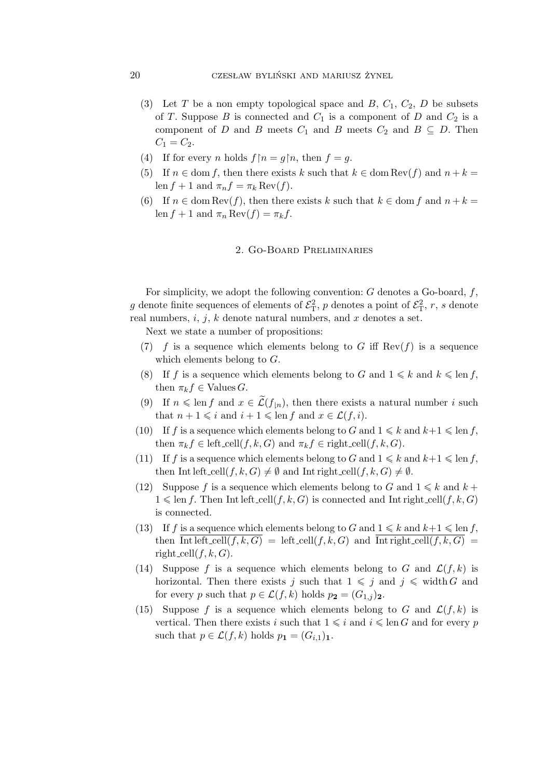- (3) Let T be a non empty topological space and B,  $C_1$ ,  $C_2$ , D be subsets of T. Suppose B is connected and  $C_1$  is a component of D and  $C_2$  is a component of D and B meets  $C_1$  and B meets  $C_2$  and  $B \subseteq D$ . Then  $C_1 = C_2.$
- (4) If for every n holds  $f \upharpoonright n = q \upharpoonright n$ , then  $f = q$ .
- (5) If  $n \in \text{dom } f$ , then there exists k such that  $k \in \text{dom Rev}(f)$  and  $n + k =$ len  $f + 1$  and  $\pi_n f = \pi_k \operatorname{Rev}(f)$ .
- (6) If  $n \in \text{dom Rev}(f)$ , then there exists k such that  $k \in \text{dom } f$  and  $n + k =$ len  $f + 1$  and  $\pi_n \text{Rev}(f) = \pi_k f$ .

## 2. Go-Board Preliminaries

For simplicity, we adopt the following convention:  $G$  denotes a Go-board,  $f$ , g denote finite sequences of elements of  $\mathcal{E}^2_T$ , p denotes a point of  $\mathcal{E}^2_T$ , r, s denote real numbers,  $i, j, k$  denote natural numbers, and x denotes a set.

Next we state a number of propositions:

- (7) f is a sequence which elements belong to G iff  $\text{Rev}(f)$  is a sequence which elements belong to G.
- (8) If f is a sequence which elements belong to G and  $1 \leq k$  and  $k \leq \text{len } f$ , then  $\pi_k f \in \text{Values } G$ .
- (9) If  $n \leq \text{len } f$  and  $x \in \widetilde{\mathcal{L}}(f_{n})$ , then there exists a natural number i such that  $n + 1 \leq i$  and  $i + 1 \leq \text{len } f$  and  $x \in \mathcal{L}(f, i)$ .
- (10) If f is a sequence which elements belong to G and  $1 \leq k$  and  $k+1 \leq \text{len } f$ , then  $\pi_k f \in \text{left-cell}(f, k, G)$  and  $\pi_k f \in \text{right-cell}(f, k, G)$ .
- (11) If f is a sequence which elements belong to G and  $1 \leq k$  and  $k+1 \leq \text{len } f$ , then Int left\_cell $(f, k, G) \neq \emptyset$  and Int right\_cell $(f, k, G) \neq \emptyset$ .
- (12) Suppose f is a sequence which elements belong to G and  $1 \leq k$  and  $k +$  $1 \leq \text{len } f$ . Then Int left\_cell(f, k, G) is connected and Int right\_cell(f, k, G) is connected.
- (13) If f is a sequence which elements belong to G and  $1 \leq k$  and  $k+1 \leq \text{len } f$ , then  $\overline{\text{Int left\_cell}(f,k,G)} = \text{left\_cell}(f,k,G)$  and  $\overline{\text{Int right\_cell}(f,k,G)} =$ right\_cell $(f, k, G)$ .
- (14) Suppose f is a sequence which elements belong to G and  $\mathcal{L}(f, k)$  is horizontal. Then there exists j such that  $1 \leq j$  and  $j \leq \text{width } G$  and for every p such that  $p \in \mathcal{L}(f, k)$  holds  $p_2 = (G_{1,i})_2$ .
- (15) Suppose f is a sequence which elements belong to G and  $\mathcal{L}(f, k)$  is vertical. Then there exists i such that  $1 \leq i$  and  $i \leq \text{len } G$  and for every p such that  $p \in \mathcal{L}(f, k)$  holds  $p_1 = (G_{i,1})_1$ .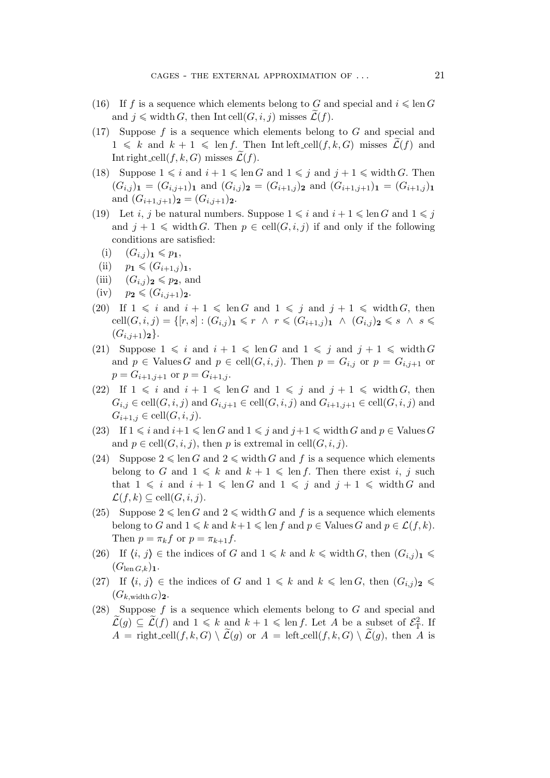- (16) If f is a sequence which elements belong to G and special and  $i \leq \text{len } G$ and  $j \nless$  width G, then Int cell $(G, i, j)$  misses  $\mathcal{L}(f)$ .
- (17) Suppose  $f$  is a sequence which elements belong to  $G$  and special and  $1 \leq k$  and  $k + 1 \leq \text{len } f$ . Then Int left cell $(f, k, G)$  misses  $\mathcal{L}(f)$  and Int right\_cell( $f, k, G$ ) misses  $\mathcal{L}(f)$ .
- (18) Suppose  $1 \leq i$  and  $i + 1 \leq \text{len } G$  and  $1 \leq j$  and  $j + 1 \leq \text{width } G$ . Then  $(G_{i,j})_1 = (G_{i,j+1})_1$  and  $(G_{i,j})_2 = (G_{i+1,j})_2$  and  $(G_{i+1,j+1})_1 = (G_{i+1,j})_1$ and  $(G_{i+1,j+1})_2 = (G_{i,j+1})_2$ .
- (19) Let *i*, *j* be natural numbers. Suppose  $1 \leq i$  and  $i + 1 \leq \text{len } G$  and  $1 \leq j$ and  $j + 1 \leq \text{width } G.$  Then  $p \in \text{cell}(G, i, j)$  if and only if the following conditions are satisfied:
	- $(i)$   $(G_{i,j})_1 \leq p_1$ ,
- $\text{(ii)}$   $p_1 \leqslant (G_{i+1,j})_1,$
- (iii)  $(G_{i,j})_2 \leqslant p_2$ , and
- $(iv)$   $p_2 \leqslant (G_{i,j+1})_2.$
- (20) If  $1 \leq i$  and  $i + 1 \leq \text{len } G$  and  $1 \leq j$  and  $j + 1 \leq \text{width } G$ , then  $cell(G, i, j) = \{ [r, s] : (G_{i,j})_1 \leq r \land r \leq (G_{i+1,j})_1 \land (G_{i,j})_2 \leq s \land s \leq$  $(G_{i,j+1})_2$ .
- (21) Suppose  $1 \leq i$  and  $i + 1 \leq \text{len } G$  and  $1 \leq i$  and  $j + 1 \leq \text{width } G$ and  $p \in$  Values G and  $p \in \text{cell}(G, i, j)$ . Then  $p = G_{i,j}$  or  $p = G_{i,j+1}$  or  $p = G_{i+1,j+1}$  or  $p = G_{i+1,j}$ .
- (22) If  $1 \leq i$  and  $i + 1 \leq \text{len } G$  and  $1 \leq i$  and  $j + 1 \leq \text{width } G$ , then  $G_{i,j} \in \text{cell}(G,i,j)$  and  $G_{i,j+1} \in \text{cell}(G,i,j)$  and  $G_{i+1,j+1} \in \text{cell}(G,i,j)$  and  $G_{i+1,j} \in \text{cell}(G,i,j).$
- (23) If  $1 \leq i$  and  $i+1 \leq \text{len } G$  and  $1 \leq j$  and  $j+1 \leq \text{width } G$  and  $p \in \text{Values } G$ and  $p \in \text{cell}(G, i, j)$ , then p is extremal in cell $(G, i, j)$ .
- (24) Suppose  $2 \leq \text{len } G$  and  $2 \leq \text{width } G$  and f is a sequence which elements belong to G and  $1 \leq k$  and  $k + 1 \leq \text{len } f$ . Then there exist i, j such that  $1 \leq i$  and  $i + 1 \leq \text{len } G$  and  $1 \leq j$  and  $j + 1 \leq \text{width } G$  and  $\mathcal{L}(f,k) \subseteq \text{cell}(G,i,j).$
- (25) Suppose  $2 \leq \text{len } G$  and  $2 \leq \text{width } G$  and f is a sequence which elements belong to G and  $1 \leq k$  and  $k+1 \leq \text{len } f$  and  $p \in \text{Values } G$  and  $p \in \mathcal{L}(f, k)$ . Then  $p = \pi_k f$  or  $p = \pi_{k+1} f$ .
- (26) If  $\langle i, j \rangle \in \mathbb{R}$  the indices of G and  $1 \leq k$  and  $k \leq \text{width } G$ , then  $(G_{i,j})_1 \leq \text{rank } G$  $(G_{\operatorname{len} G,k})_1$ .
- (27) If  $\langle i, j \rangle \in \mathbb{R}$  the indices of G and  $1 \leq k$  and  $k \leq \text{len } G$ , then  $(G_{i,j})_2 \leq \text{len } G$  $(G_{k,\text{width }G})$ **2**.
- (28) Suppose  $f$  is a sequence which elements belong to  $G$  and special and  $\widetilde{\mathcal{L}}(g) \subseteq \widetilde{\mathcal{L}}(f)$  and  $1 \leq k$  and  $k + 1 \leq \text{len } f$ . Let A be a subset of  $\mathcal{E}_T^2$ . If  $A = \text{right-cell}(f, k, G) \setminus \widetilde{\mathcal{L}}(g)$  or  $A = \text{left-cell}(f, k, G) \setminus \widetilde{\mathcal{L}}(g)$ , then A is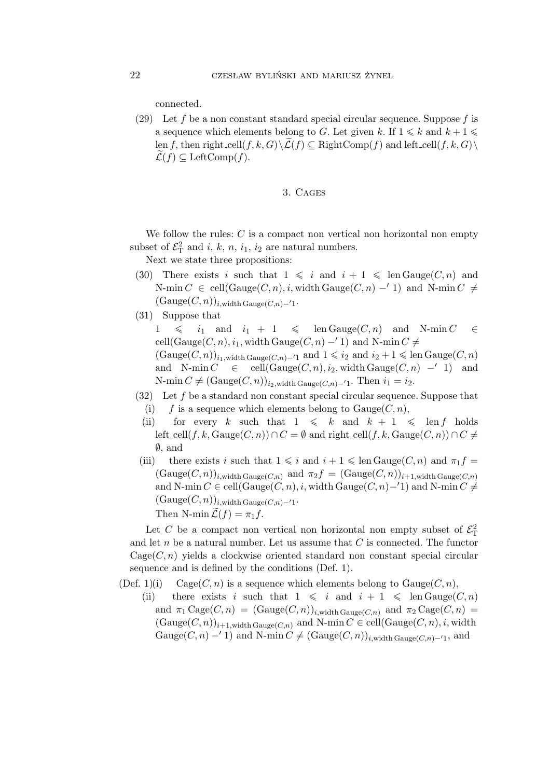connected.

(29) Let f be a non constant standard special circular sequence. Suppose f is a sequence which elements belong to G. Let given k. If  $1 \leq k$  and  $k+1 \leq$ len f, then right\_cell(f, k, G) $\setminus$   $\mathcal{L}(f)$   $\subset$  RightComp(f) and left\_cell(f, k, G) $\setminus$  $\mathcal{L}(f) \subset \text{LeftComp}(f)$ .

## 3. Cages

We follow the rules:  $C$  is a compact non vertical non horizontal non empty subset of  $\mathcal{E}_{\rm T}^2$  and *i*, *k*, *n*, *i*<sub>1</sub>, *i*<sub>2</sub> are natural numbers.

Next we state three propositions:

- (30) There exists i such that  $1 \leq i$  and  $i + 1 \leq \text{len Gauge}(C, n)$  and N-min  $C \in \text{cell}(\text{Gauge}(C, n), i, \text{width } \text{Gauge}(C, n) - 1)$  and N-min  $C \neq$  $(Gauge(C, n))_{i, \text{width } \text{Gauge}(C, n) - 1}.$
- (31) Suppose that

 $1 \leq i_1$  and  $i_1 + 1 \leq \text{len Gauge}(C, n)$  and N-min  $C \in$ cell(Gauge( $C, n$ ),  $i_1$ , width Gauge( $C, n$ ) −′ 1) and N-min  $C \neq$  $(\text{Gauge}(C,n))_{i_1,\text{width}}$  Gauge(C,n)<sup>*−′*1</sup> and  $1 \leq i_2$  and  $i_2 + 1 \leq \text{len Gauge}(C,n)$ and N-min  $C \in \text{cell}(\text{Gauge}(C, n), i_2, \text{width } \text{Gauge}(C, n) - '1)$  and N-min  $C \neq (\text{Gauge}(C, n))_{i_2, \text{width } \text{Gauge}(C, n)−<sup>′</sup>1}$ . Then  $i_1 = i_2$ .

- $(32)$  Let f be a standard non constant special circular sequence. Suppose that
	- (i) f is a sequence which elements belong to  $Gauge(C, n)$ ,
	- (ii) for every k such that  $1 \le k$  and  $k + 1 \le \text{len } f$  holds left\_cell(f,k, Gauge(C,n)) ∩ C =  $\emptyset$  and right\_cell(f,k, Gauge(C,n)) ∩ C  $\neq$ *∅*, and
- (iii) there exists i such that  $1 \leq i$  and  $i + 1 \leq \text{len Gauge}(C, n)$  and  $\pi_1 f =$  $(\text{Gauge}(C,n))_{i,\text{width} } \text{Gauge}(C,n)$  and  $\pi_2 f = (\text{Gauge}(C,n))_{i+1,\text{width} } \text{Gauge}(C,n)$ and N-min  $C \in \text{cell}(\text{Gauge}(C,n), i, \text{width } \text{Gauge}(C,n) - 1)$  and N-min  $C \neq$  $(\text{Gauge}(C,n))_{i,\text{width}\,\text{Gauge}(C,n)-1}.$ Then N-min $\mathcal{L}(f) = \pi_1 f$ .

Let C be a compact non vertical non horizontal non empty subset of  $\mathcal{E}^2_T$ and let n be a natural number. Let us assume that  $C$  is connected. The functor  $Case(C, n)$  yields a clockwise oriented standard non constant special circular sequence and is defined by the conditions (Def. 1).

(Def. 1)(i) Cage(C, n) is a sequence which elements belong to  $Gauge(C, n)$ ,

(ii) there exists i such that  $1 \leq i$  and  $i + 1 \leq \text{len Gauge}(C, n)$ and  $\pi_1 \text{Cage}(C, n) = (\text{Gauge}(C, n))_{i, \text{width} \text{Gauge}(C, n)}$  and  $\pi_2 \text{Cage}(C, n) =$  $(\text{Gauge}(C,n))_{i+1,\text{width}}$  Gauge $(C,n)$  and N-min  $C \in \text{cell}(\text{Gauge}(C,n),i,\text{width})$ Gauge( $C, n$ ) −′ 1) and N-min  $C \neq (\text{Gauge}(C,n))_{i,\text{width-Gauge}(C,n)$ −′1, and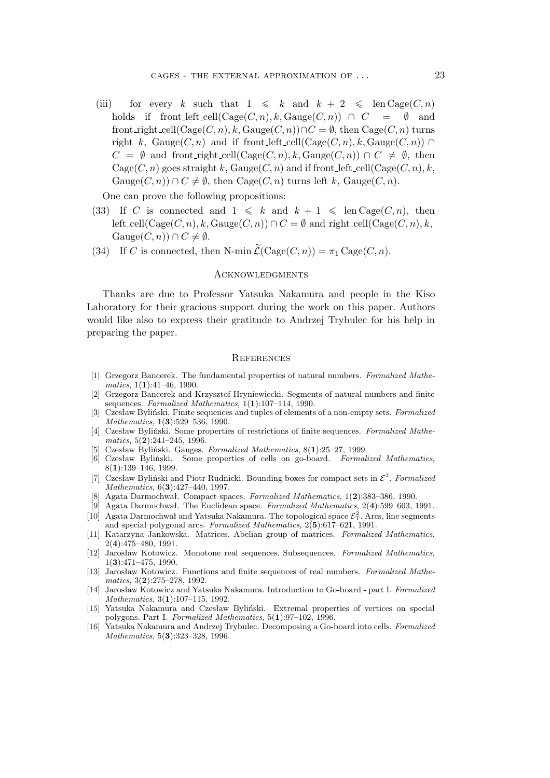(iii) for every k such that  $1 \le k$  and  $k + 2 \le \text{len Case}(C, n)$ holds if front left\_cell( $Cage(C, n)$ , k,  $Gauge(C, n)$ )  $\cap$   $C = \emptyset$  and front\_right\_cell(Cage( $C, n$ ), k, Gauge( $C, n$ )) $\cap C = \emptyset$ , then Cage( $C, n$ ) turns right k, Gauge( $C, n$ ) and if front left cell(Cage( $C, n$ ), k, Gauge( $C, n$ ))  $\cap$  $C = \emptyset$  and front\_right\_cell(Cage( $C, n$ ),  $k$ , Gauge( $C, n$ ))  $\cap C \neq \emptyset$ , then  $Case(C, n)$  goes straight k, Gauge $(C, n)$  and if front left cell  $(Case(C, n), k$ ,  $Gauge(C, n)$ )  $\cap C \neq \emptyset$ , then  $Cage(C, n)$  turns left k,  $Gauge(C, n)$ .

One can prove the following propositions:

- (33) If C is connected and  $1 \le k$  and  $k + 1 \le \text{len Case}(C, n)$ , then left\_cell( $Cage(C, n)$ , k,  $Gauge(C, n)$ )  $\cap C = \emptyset$  and right\_cell( $Cage(C, n)$ , k,  $Gauge(C, n)) \cap C \neq \emptyset.$
- (34) If C is connected, then N-min  $\widetilde{\mathcal{L}}(\text{Case}(C, n)) = \pi_1 \text{Case}(C, n)$ .

#### **ACKNOWLEDGMENTS**

Thanks are due to Professor Yatsuka Nakamura and people in the Kiso Laboratory for their gracious support during the work on this paper. Authors would like also to express their gratitude to Andrzej Trybulec for his help in preparing the paper.

#### **REFERENCES**

- [1] Grzegorz Bancerek. The fundamental properties of natural numbers. *Formalized Mathematics*, 1(**1**):41–46, 1990.
- [2] Grzegorz Bancerek and Krzysztof Hryniewiecki. Segments of natural numbers and finite sequences. *Formalized Mathematics*, 1(**1**):107–114, 1990.
- [3] Czesław Byliński. Finite sequences and tuples of elements of a non-empty sets. *Formalized Mathematics*, 1(**3**):529–536, 1990.
- [4] Czesław Byliński. Some properties of restrictions of finite sequences. *Formalized Mathematics*, 5(**2**):241–245, 1996.
- [5] Czesław Byliński. Gauges. *Formalized Mathematics*, 8(**1**):25–27, 1999.
- [6] Czesław Byliński. Some properties of cells on go-board. *Formalized Mathematics*, 8(**1**):139–146, 1999.
- [7] Czesław Byliński and Piotr Rudnicki. Bounding boxes for compact sets in *E* 2 . *Formalized Mathematics*, 6(**3**):427–440, 1997.
- [8] Agata Darmochwał. Compact spaces. *Formalized Mathematics*, 1(**2**):383–386, 1990.
- [9] Agata Darmochwał. The Euclidean space. *Formalized Mathematics*, 2(**4**):599–603, 1991.
- [10] Agata Darmochwał and Yatsuka Nakamura. The topological space  $\mathcal{E}_T^2$ . Arcs, line segments and special polygonal arcs. *Formalized Mathematics*, 2(**5**):617–621, 1991.
- [11] Katarzyna Jankowska. Matrices. Abelian group of matrices. *Formalized Mathematics*, 2(**4**):475–480, 1991.
- [12] Jarosław Kotowicz. Monotone real sequences. Subsequences. *Formalized Mathematics*, 1(**3**):471–475, 1990.
- [13] Jarosław Kotowicz. Functions and finite sequences of real numbers. *Formalized Mathematics*, 3(**2**):275–278, 1992.
- [14] Jarosław Kotowicz and Yatsuka Nakamura. Introduction to Go-board part I. *Formalized Mathematics*, 3(**1**):107–115, 1992.
- [15] Yatsuka Nakamura and Czesław Byliński. Extremal properties of vertices on special polygons. Part I. *Formalized Mathematics*, 5(**1**):97–102, 1996.
- [16] Yatsuka Nakamura and Andrzej Trybulec. Decomposing a Go-board into cells. *Formalized Mathematics*, 5(**3**):323–328, 1996.